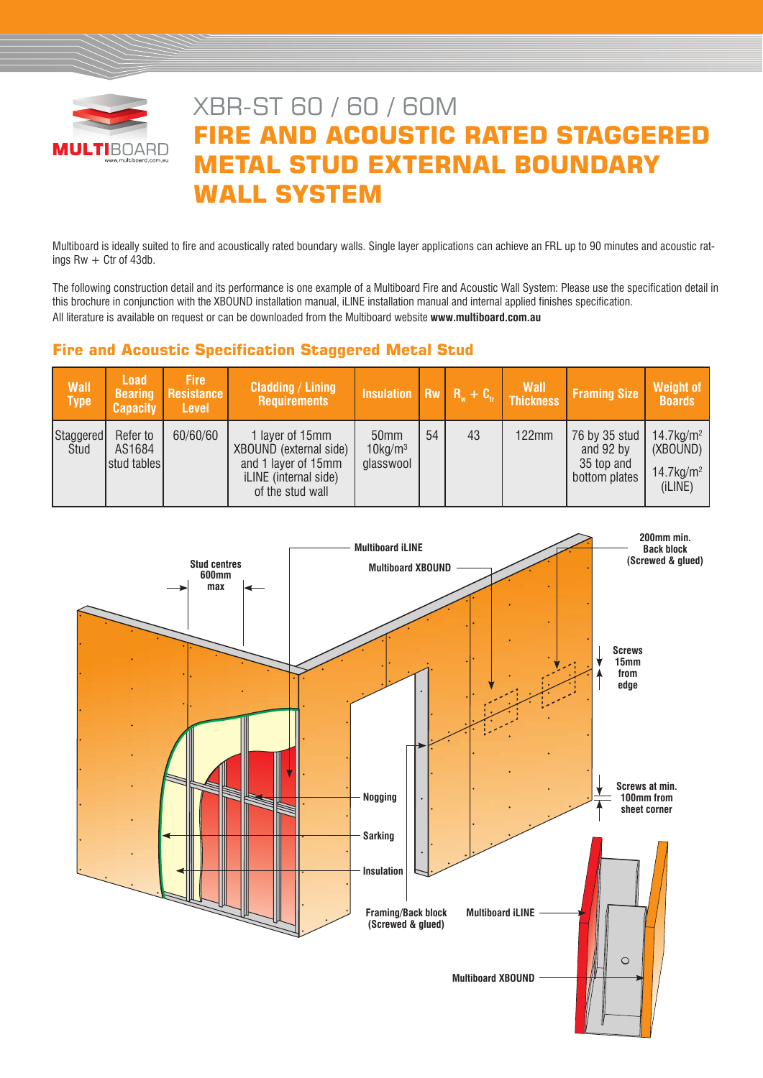

# XBR-ST 60 / 60 / 60M **FIRE AND ACOUSTIC RATED STAGGERED METAL STUD EXTERNAL BOUNDARY WALL SYSTEM**

Multiboard is ideally suited to fire and acoustically rated boundary walls. Single layer applications can achieve an FRL up to 90 minutes and acoustic ratings  $Rw + Ctr$  of 43db.

The following construction detail and its performance is one example of a Multiboard Fire and Acoustic Wall System: Please use the specification detail in this brochure in conjunction with the XBOUND installation manual, iLINE installation manual and internal applied finishes specification. All literature is available on request or can be downloaded from the Multiboard website **www.multiboard.com.au**

# **Fire and Acoustic Specification Staggered Metal Stud**

| <b>Wall</b><br><b>Type</b> | <b>Load</b><br><b>Bearing</b><br><b>Capacity</b> | <b>Fire</b><br>Resistance<br><b>Level</b> | <b>Cladding / Lining</b><br><b>Requirements</b>                                                               | Insulation Rw $R_w + C_v$ Thickness         |    |    | <b>Wall</b>  | <b>Framing Size</b>                                       | <b>Weight of</b><br><b>Boards</b>                                           |
|----------------------------|--------------------------------------------------|-------------------------------------------|---------------------------------------------------------------------------------------------------------------|---------------------------------------------|----|----|--------------|-----------------------------------------------------------|-----------------------------------------------------------------------------|
| Staggered<br>Stud          | Refer to<br>AS1684<br>stud tables                | 60/60/60                                  | 1 layer of 15mm<br>XBOUND (external side)<br>and 1 layer of 15mm<br>iLINE (internal side)<br>of the stud wall | 50mm<br>$10$ kg/m <sup>3</sup><br>glasswool | 54 | 43 | <b>122mm</b> | 76 by 35 stud<br>and 92 by<br>35 top and<br>bottom plates | $14.7$ kg/m <sup>2</sup><br>(XBOUND)<br>$14.7$ kg/m <sup>2</sup><br>(iLINE) |